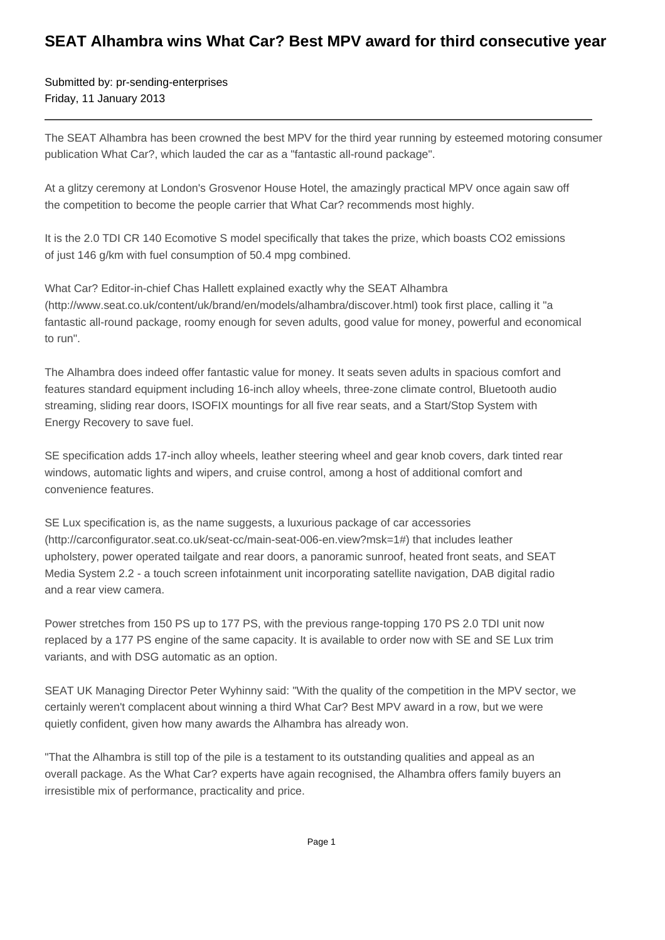## **SEAT Alhambra wins What Car? Best MPV award for third consecutive year**

Submitted by: pr-sending-enterprises Friday, 11 January 2013

The SEAT Alhambra has been crowned the best MPV for the third year running by esteemed motoring consumer publication What Car?, which lauded the car as a "fantastic all-round package".

At a glitzy ceremony at London's Grosvenor House Hotel, the amazingly practical MPV once again saw off the competition to become the people carrier that What Car? recommends most highly.

It is the 2.0 TDI CR 140 Ecomotive S model specifically that takes the prize, which boasts CO2 emissions of just 146 g/km with fuel consumption of 50.4 mpg combined.

What Car? Editor-in-chief Chas Hallett explained exactly why the SEAT Alhambra (http://www.seat.co.uk/content/uk/brand/en/models/alhambra/discover.html) took first place, calling it "a fantastic all-round package, roomy enough for seven adults, good value for money, powerful and economical to run".

The Alhambra does indeed offer fantastic value for money. It seats seven adults in spacious comfort and features standard equipment including 16-inch alloy wheels, three-zone climate control, Bluetooth audio streaming, sliding rear doors, ISOFIX mountings for all five rear seats, and a Start/Stop System with Energy Recovery to save fuel.

SE specification adds 17-inch alloy wheels, leather steering wheel and gear knob covers, dark tinted rear windows, automatic lights and wipers, and cruise control, among a host of additional comfort and convenience features.

SE Lux specification is, as the name suggests, a luxurious package of car accessories (http://carconfigurator.seat.co.uk/seat-cc/main-seat-006-en.view?msk=1#) that includes leather upholstery, power operated tailgate and rear doors, a panoramic sunroof, heated front seats, and SEAT Media System 2.2 - a touch screen infotainment unit incorporating satellite navigation, DAB digital radio and a rear view camera.

Power stretches from 150 PS up to 177 PS, with the previous range-topping 170 PS 2.0 TDI unit now replaced by a 177 PS engine of the same capacity. It is available to order now with SE and SE Lux trim variants, and with DSG automatic as an option.

SEAT UK Managing Director Peter Wyhinny said: "With the quality of the competition in the MPV sector, we certainly weren't complacent about winning a third What Car? Best MPV award in a row, but we were quietly confident, given how many awards the Alhambra has already won.

"That the Alhambra is still top of the pile is a testament to its outstanding qualities and appeal as an overall package. As the What Car? experts have again recognised, the Alhambra offers family buyers an irresistible mix of performance, practicality and price.